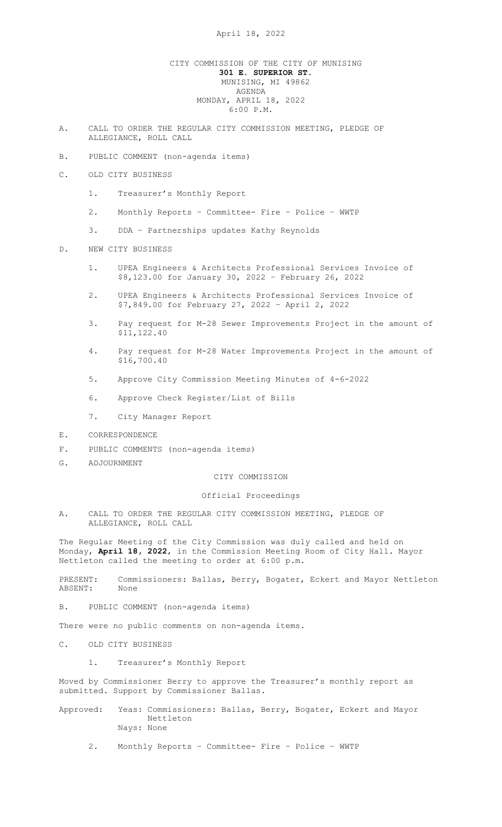## CITY COMMISSION OF THE CITY OF MUNISING 301 E. SUPERIOR ST. MUNISING, MI 49862 AGENDA MONDAY, APRIL 18, 2022 6:00 P.M.

- A. CALL TO ORDER THE REGULAR CITY COMMISSION MEETING, PLEDGE OF ALLEGIANCE, ROLL CALL
- B. PUBLIC COMMENT (non-agenda items)
- C. OLD CITY BUSINESS
	- 1. Treasurer's Monthly Report
	- 2. Monthly Reports Committee- Fire Police WWTP
	- 3. DDA Partnerships updates Kathy Reynolds

## D. NEW CITY BUSINESS

- 1. UPEA Engineers & Architects Professional Services Invoice of \$8,123.00 for January 30, 2022 – February 26, 2022
- 2. UPEA Engineers & Architects Professional Services Invoice of \$7,849.00 for February 27, 2022 – April 2, 2022
- 3. Pay request for M-28 Sewer Improvements Project in the amount of \$11,122.40
- 4. Pay request for M-28 Water Improvements Project in the amount of \$16,700.40
- 5. Approve City Commission Meeting Minutes of 4-6-2022
- 6. Approve Check Register/List of Bills
- 7. City Manager Report
- E. CORRESPONDENCE
- F. PUBLIC COMMENTS (non-agenda items)
- G. ADJOURNMENT

## CITY COMMISSION

Official Proceedings

A. CALL TO ORDER THE REGULAR CITY COMMISSION MEETING, PLEDGE OF ALLEGIANCE, ROLL CALL

The Regular Meeting of the City Commission was duly called and held on Monday**, April 18, 2022,** in the Commission Meeting Room of City Hall. Mayor Nettleton called the meeting to order at 6:00 p.m.

PRESENT: Commissioners: Ballas, Berry, Bogater, Eckert and Mayor Nettleton ABSENT: None

B. PUBLIC COMMENT (non-agenda items)

There were no public comments on non-agenda items.

- C. OLD CITY BUSINESS
	- 1. Treasurer's Monthly Report

Moved by Commissioner Berry to approve the Treasurer's monthly report as submitted. Support by Commissioner Ballas.

Approved: Yeas: Commissioners: Ballas, Berry, Bogater, Eckert and Mayor Nettleton Nays: None

2. Monthly Reports – Committee- Fire – Police – WWTP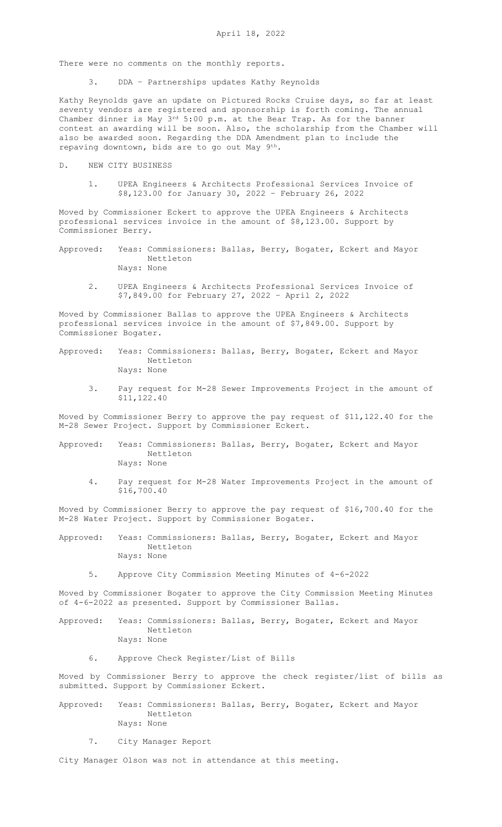There were no comments on the monthly reports.

3. DDA – Partnerships updates Kathy Reynolds

Kathy Reynolds gave an update on Pictured Rocks Cruise days, so far at least seventy vendors are registered and sponsorship is forth coming. The annual Chamber dinner is May 3rd 5:00 p.m. at the Bear Trap. As for the banner contest an awarding will be soon. Also, the scholarship from the Chamber will also be awarded soon. Regarding the DDA Amendment plan to include the repaving downtown, bids are to go out May 9th.

- D. NEW CITY BUSINESS
	- 1. UPEA Engineers & Architects Professional Services Invoice of \$8,123.00 for January 30, 2022 – February 26, 2022

Moved by Commissioner Eckert to approve the UPEA Engineers & Architects professional services invoice in the amount of \$8,123.00. Support by Commissioner Berry.

- Approved: Yeas: Commissioners: Ballas, Berry, Bogater, Eckert and Mayor Nettleton Nays: None
	- 2. UPEA Engineers & Architects Professional Services Invoice of \$7,849.00 for February 27, 2022 – April 2, 2022

Moved by Commissioner Ballas to approve the UPEA Engineers & Architects professional services invoice in the amount of \$7,849.00. Support by Commissioner Bogater.

- Approved: Yeas: Commissioners: Ballas, Berry, Bogater, Eckert and Mayor Nettleton Nays: None
	- 3. Pay request for M-28 Sewer Improvements Project in the amount of \$11,122.40

Moved by Commissioner Berry to approve the pay request of \$11,122.40 for the M-28 Sewer Project. Support by Commissioner Eckert.

- Approved: Yeas: Commissioners: Ballas, Berry, Bogater, Eckert and Mayor Nettleton Nays: None
	- 4. Pay request for M-28 Water Improvements Project in the amount of \$16,700.40

Moved by Commissioner Berry to approve the pay request of \$16,700.40 for the M-28 Water Project. Support by Commissioner Bogater.

- Approved: Yeas: Commissioners: Ballas, Berry, Bogater, Eckert and Mayor Nettleton Nays: None
	- 5. Approve City Commission Meeting Minutes of 4-6-2022

Moved by Commissioner Bogater to approve the City Commission Meeting Minutes of 4-6-2022 as presented. Support by Commissioner Ballas.

- Approved: Yeas: Commissioners: Ballas, Berry, Bogater, Eckert and Mayor Nettleton Nays: None
	- 6. Approve Check Register/List of Bills

Moved by Commissioner Berry to approve the check register/list of bills as submitted. Support by Commissioner Eckert.

- Approved: Yeas: Commissioners: Ballas, Berry, Bogater, Eckert and Mayor Nettleton Nays: None
	- 7. City Manager Report

City Manager Olson was not in attendance at this meeting.